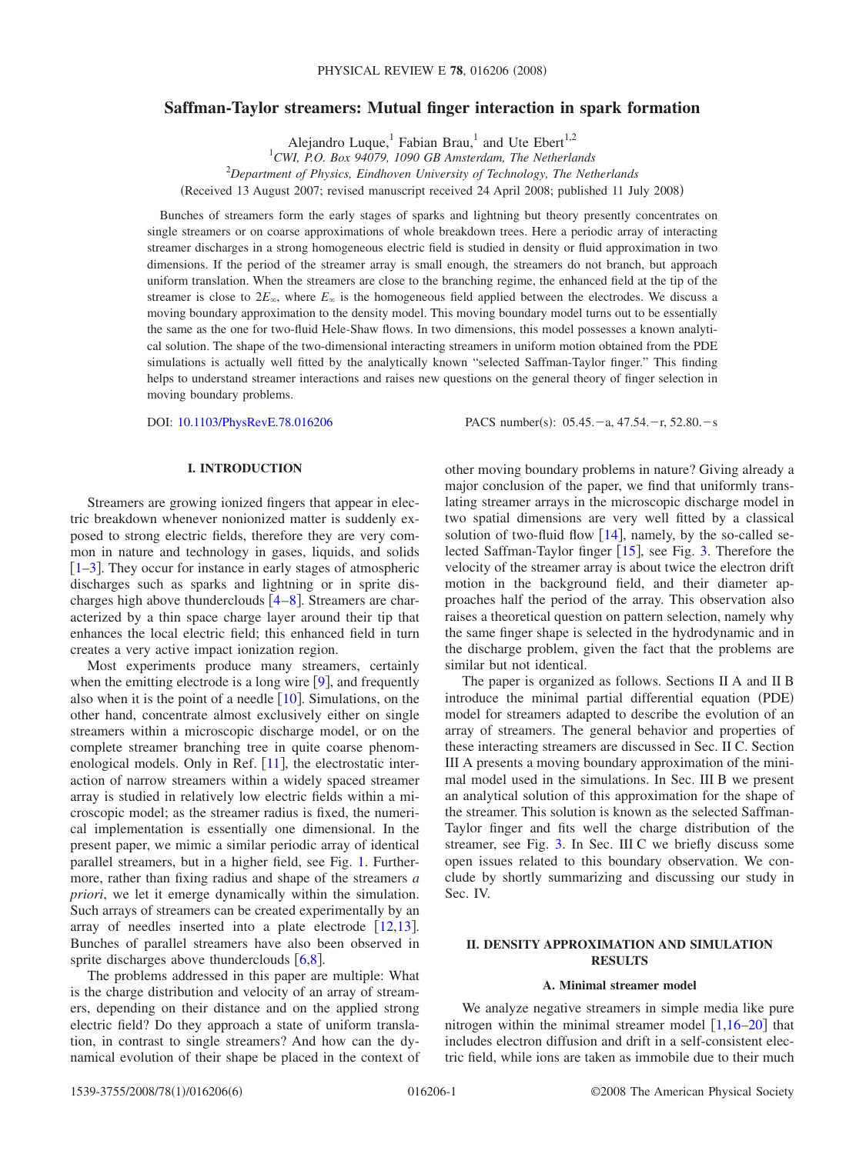# **Saffman-Taylor streamers: Mutual finger interaction in spark formation**

Alejandro Luque,<sup>1</sup> Fabian Brau,<sup>1</sup> and Ute Ebert<sup>1,2</sup> 1 *CWI, P.O. Box 94079, 1090 GB Amsterdam, The Netherlands* 2 *Department of Physics, Eindhoven University of Technology, The Netherlands* Received 13 August 2007; revised manuscript received 24 April 2008; published 11 July 2008-

Bunches of streamers form the early stages of sparks and lightning but theory presently concentrates on single streamers or on coarse approximations of whole breakdown trees. Here a periodic array of interacting streamer discharges in a strong homogeneous electric field is studied in density or fluid approximation in two dimensions. If the period of the streamer array is small enough, the streamers do not branch, but approach uniform translation. When the streamers are close to the branching regime, the enhanced field at the tip of the streamer is close to  $2E_{\infty}$ , where  $E_{\infty}$  is the homogeneous field applied between the electrodes. We discuss a moving boundary approximation to the density model. This moving boundary model turns out to be essentially the same as the one for two-fluid Hele-Shaw flows. In two dimensions, this model possesses a known analytical solution. The shape of the two-dimensional interacting streamers in uniform motion obtained from the PDE simulations is actually well fitted by the analytically known "selected Saffman-Taylor finger." This finding helps to understand streamer interactions and raises new questions on the general theory of finger selection in moving boundary problems.

DOI: [10.1103/PhysRevE.78.016206](http://dx.doi.org/10.1103/PhysRevE.78.016206)

:  $05.45 - a$ ,  $47.54 - r$ ,  $52.80 - s$ 

## **I. INTRODUCTION**

Streamers are growing ionized fingers that appear in electric breakdown whenever nonionized matter is suddenly exposed to strong electric fields, therefore they are very common in nature and technology in gases, liquids, and solids  $\left[1-3\right]$  $\left[1-3\right]$  $\left[1-3\right]$ . They occur for instance in early stages of atmospheric discharges such as sparks and lightning or in sprite discharges high above thunderclouds  $[4-8]$  $[4-8]$  $[4-8]$ . Streamers are characterized by a thin space charge layer around their tip that enhances the local electric field; this enhanced field in turn creates a very active impact ionization region.

Most experiments produce many streamers, certainly when the emitting electrode is a long wire  $[9]$  $[9]$  $[9]$ , and frequently also when it is the point of a needle  $[10]$  $[10]$  $[10]$ . Simulations, on the other hand, concentrate almost exclusively either on single streamers within a microscopic discharge model, or on the complete streamer branching tree in quite coarse phenom-enological models. Only in Ref. [[11](#page-5-6)], the electrostatic interaction of narrow streamers within a widely spaced streamer array is studied in relatively low electric fields within a microscopic model; as the streamer radius is fixed, the numerical implementation is essentially one dimensional. In the present paper, we mimic a similar periodic array of identical parallel streamers, but in a higher field, see Fig. [1.](#page-1-0) Furthermore, rather than fixing radius and shape of the streamers *a priori*, we let it emerge dynamically within the simulation. Such arrays of streamers can be created experimentally by an array of needles inserted into a plate electrode  $[12,13]$  $[12,13]$  $[12,13]$  $[12,13]$ . Bunches of parallel streamers have also been observed in sprite discharges above thunderclouds  $[6,8]$  $[6,8]$  $[6,8]$  $[6,8]$ .

The problems addressed in this paper are multiple: What is the charge distribution and velocity of an array of streamers, depending on their distance and on the applied strong electric field? Do they approach a state of uniform translation, in contrast to single streamers? And how can the dynamical evolution of their shape be placed in the context of other moving boundary problems in nature? Giving already a major conclusion of the paper, we find that uniformly translating streamer arrays in the microscopic discharge model in two spatial dimensions are very well fitted by a classical solution of two-fluid flow  $[14]$  $[14]$  $[14]$ , namely, by the so-called selected Saffman-Taylor finger  $[15]$  $[15]$  $[15]$ , see Fig. [3.](#page-2-0) Therefore the velocity of the streamer array is about twice the electron drift motion in the background field, and their diameter approaches half the period of the array. This observation also raises a theoretical question on pattern selection, namely why the same finger shape is selected in the hydrodynamic and in the discharge problem, given the fact that the problems are similar but not identical.

The paper is organized as follows. Sections II A and II B introduce the minimal partial differential equation (PDE) model for streamers adapted to describe the evolution of an array of streamers. The general behavior and properties of these interacting streamers are discussed in Sec. II C. Section III A presents a moving boundary approximation of the minimal model used in the simulations. In Sec. III B we present an analytical solution of this approximation for the shape of the streamer. This solution is known as the selected Saffman-Taylor finger and fits well the charge distribution of the streamer, see Fig. [3.](#page-2-0) In Sec. III C we briefly discuss some open issues related to this boundary observation. We conclude by shortly summarizing and discussing our study in Sec. IV.

### **II. DENSITY APPROXIMATION AND SIMULATION RESULTS**

#### **A. Minimal streamer model**

We analyze negative streamers in simple media like pure nitrogen within the minimal streamer model  $[1,16–20]$  $[1,16–20]$  $[1,16–20]$  $[1,16–20]$  $[1,16–20]$  that includes electron diffusion and drift in a self-consistent electric field, while ions are taken as immobile due to their much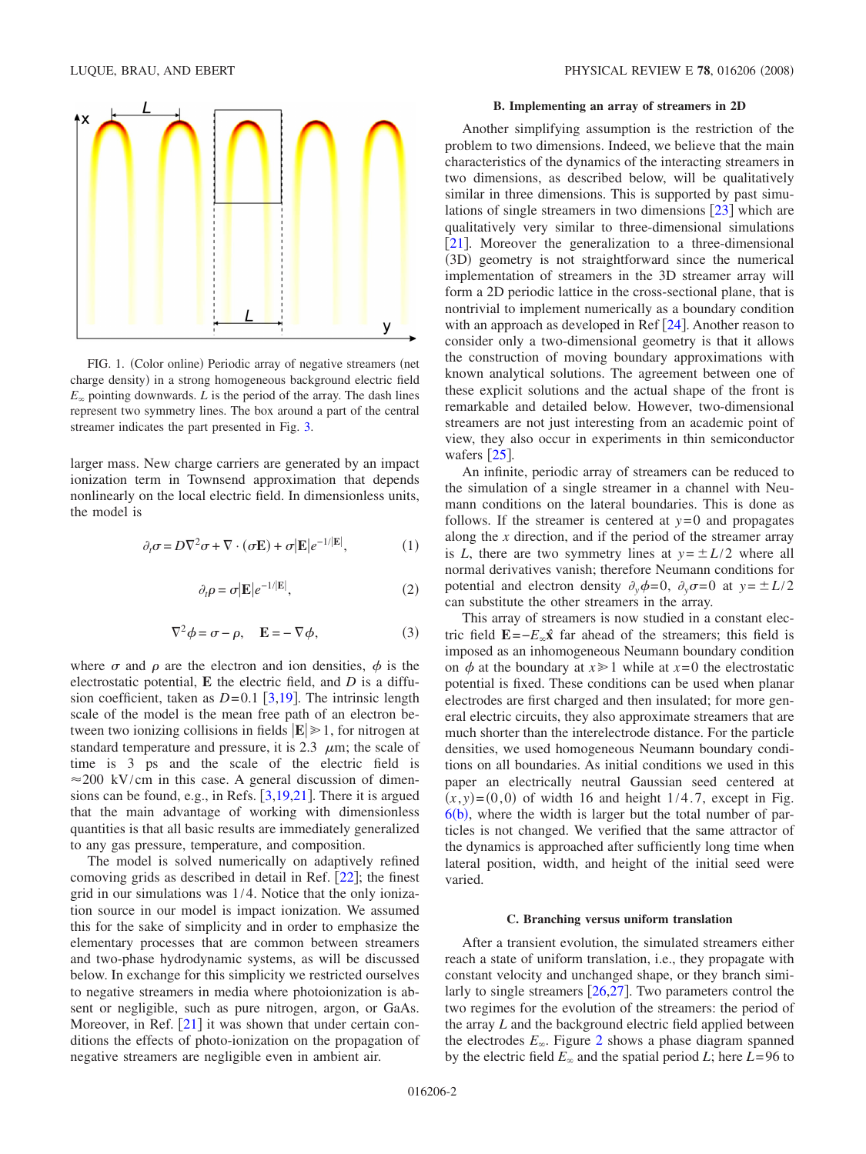<span id="page-1-0"></span>

FIG. 1. (Color online) Periodic array of negative streamers (net charge density) in a strong homogeneous background electric field  $E_{\infty}$  pointing downwards. *L* is the period of the array. The dash lines represent two symmetry lines. The box around a part of the central streamer indicates the part presented in Fig. [3.](#page-2-0)

larger mass. New charge carriers are generated by an impact ionization term in Townsend approximation that depends nonlinearly on the local electric field. In dimensionless units, the model is

<span id="page-1-1"></span>
$$
\partial_t \sigma = D \nabla^2 \sigma + \nabla \cdot (\sigma \mathbf{E}) + \sigma |\mathbf{E}| e^{-1/|\mathbf{E}|}, \tag{1}
$$

$$
\partial_t \rho = \sigma | \mathbf{E} | e^{-1/|\mathbf{E}|}, \tag{2}
$$

$$
\nabla^2 \phi = \sigma - \rho, \quad \mathbf{E} = -\nabla \phi,\tag{3}
$$

<span id="page-1-2"></span>where  $\sigma$  and  $\rho$  are the electron and ion densities,  $\phi$  is the electrostatic potential, **E** the electric field, and *D* is a diffusion coefficient, taken as  $D=0.1$  [[3](#page-5-1)[,19](#page-5-14)]. The intrinsic length scale of the model is the mean free path of an electron between two ionizing collisions in fields  $|\mathbf{E}| \geq 1$ , for nitrogen at standard temperature and pressure, it is 2.3  $\mu$ m; the scale of time is 3 ps and the scale of the electric field is  $\approx$  200 kV/cm in this case. A general discussion of dimensions can be found, e.g., in Refs.  $\lceil 3,19,21 \rceil$  $\lceil 3,19,21 \rceil$  $\lceil 3,19,21 \rceil$  $\lceil 3,19,21 \rceil$  $\lceil 3,19,21 \rceil$ . There it is argued that the main advantage of working with dimensionless quantities is that all basic results are immediately generalized to any gas pressure, temperature, and composition.

The model is solved numerically on adaptively refined comoving grids as described in detail in Ref.  $[22]$  $[22]$  $[22]$ ; the finest grid in our simulations was 1/4. Notice that the only ionization source in our model is impact ionization. We assumed this for the sake of simplicity and in order to emphasize the elementary processes that are common between streamers and two-phase hydrodynamic systems, as will be discussed below. In exchange for this simplicity we restricted ourselves to negative streamers in media where photoionization is absent or negligible, such as pure nitrogen, argon, or GaAs. Moreover, in Ref.  $[21]$  $[21]$  $[21]$  it was shown that under certain conditions the effects of photo-ionization on the propagation of negative streamers are negligible even in ambient air.

### **B. Implementing an array of streamers in 2D**

Another simplifying assumption is the restriction of the problem to two dimensions. Indeed, we believe that the main characteristics of the dynamics of the interacting streamers in two dimensions, as described below, will be qualitatively similar in three dimensions. This is supported by past simulations of single streamers in two dimensions  $\lceil 23 \rceil$  $\lceil 23 \rceil$  $\lceil 23 \rceil$  which are qualitatively very similar to three-dimensional simulations [[21](#page-5-15)]. Moreover the generalization to a three-dimensional (3D) geometry is not straightforward since the numerical implementation of streamers in the 3D streamer array will form a 2D periodic lattice in the cross-sectional plane, that is nontrivial to implement numerically as a boundary condition with an approach as developed in Ref  $[24]$  $[24]$  $[24]$ . Another reason to consider only a two-dimensional geometry is that it allows the construction of moving boundary approximations with known analytical solutions. The agreement between one of these explicit solutions and the actual shape of the front is remarkable and detailed below. However, two-dimensional streamers are not just interesting from an academic point of view, they also occur in experiments in thin semiconductor wafers  $[25]$  $[25]$  $[25]$ .

An infinite, periodic array of streamers can be reduced to the simulation of a single streamer in a channel with Neumann conditions on the lateral boundaries. This is done as follows. If the streamer is centered at  $y=0$  and propagates along the *x* direction, and if the period of the streamer array is *L*, there are two symmetry lines at  $y = \pm L/2$  where all normal derivatives vanish; therefore Neumann conditions for potential and electron density  $\partial_y \phi = 0$ ,  $\partial_y \sigma = 0$  at  $y = \pm L/2$ can substitute the other streamers in the array.

This array of streamers is now studied in a constant electric field  $\mathbf{E} = -E_{\alpha} \hat{\mathbf{x}}$  far ahead of the streamers; this field is imposed as an inhomogeneous Neumann boundary condition on  $\phi$  at the boundary at  $x \ge 1$  while at  $x=0$  the electrostatic potential is fixed. These conditions can be used when planar electrodes are first charged and then insulated; for more general electric circuits, they also approximate streamers that are much shorter than the interelectrode distance. For the particle densities, we used homogeneous Neumann boundary conditions on all boundaries. As initial conditions we used in this paper an electrically neutral Gaussian seed centered at  $(x, y) = (0, 0)$  of width 16 and height 1/4.7, except in Fig.  $6(b)$  $6(b)$ , where the width is larger but the total number of particles is not changed. We verified that the same attractor of the dynamics is approached after sufficiently long time when lateral position, width, and height of the initial seed were varied.

#### **C. Branching versus uniform translation**

After a transient evolution, the simulated streamers either reach a state of uniform translation, i.e., they propagate with constant velocity and unchanged shape, or they branch similarly to single streamers  $[26,27]$  $[26,27]$  $[26,27]$  $[26,27]$ . Two parameters control the two regimes for the evolution of the streamers: the period of the array *L* and the background electric field applied between the electrodes  $E_{\infty}$ . Figure [2](#page-2-1) shows a phase diagram spanned by the electric field  $E_{\infty}$  and the spatial period *L*; here  $L=96$  to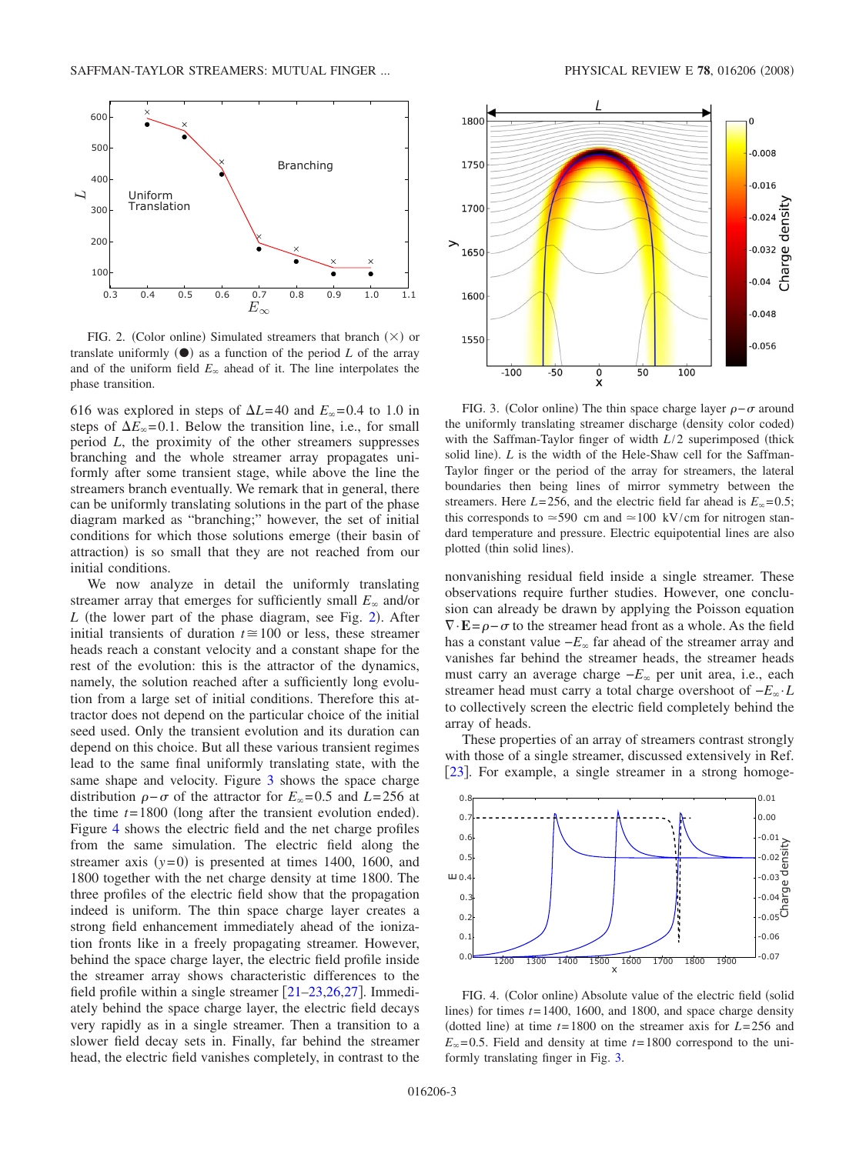<span id="page-2-1"></span>

FIG. 2. (Color online) Simulated streamers that branch  $(\times)$  or translate uniformly  $(\bullet)$  as a function of the period *L* of the array and of the uniform field  $E_{\infty}$  ahead of it. The line interpolates the phase transition.

616 was explored in steps of  $\Delta L$ =40 and  $E_{\infty}$ =0.4 to 1.0 in steps of  $\Delta E_{\infty}$ =0.1. Below the transition line, i.e., for small period *L*, the proximity of the other streamers suppresses branching and the whole streamer array propagates uniformly after some transient stage, while above the line the streamers branch eventually. We remark that in general, there can be uniformly translating solutions in the part of the phase diagram marked as "branching;" however, the set of initial conditions for which those solutions emerge (their basin of attraction) is so small that they are not reached from our initial conditions.

We now analyze in detail the uniformly translating streamer array that emerges for sufficiently small  $E_{\infty}$  and/or  $L$  (the lower part of the phase diagram, see Fig. [2](#page-2-1)). After initial transients of duration  $t \approx 100$  or less, these streamer heads reach a constant velocity and a constant shape for the rest of the evolution: this is the attractor of the dynamics, namely, the solution reached after a sufficiently long evolution from a large set of initial conditions. Therefore this attractor does not depend on the particular choice of the initial seed used. Only the transient evolution and its duration can depend on this choice. But all these various transient regimes lead to the same final uniformly translating state, with the same shape and velocity. Figure [3](#page-2-0) shows the space charge distribution  $\rho - \sigma$  of the attractor for  $E_{\infty} = 0.5$  and  $L = 256$  at the time  $t = 1800$  (long after the transient evolution ended). Figure [4](#page-2-2) shows the electric field and the net charge profiles from the same simulation. The electric field along the streamer axis  $(y=0)$  is presented at times 1400, 1600, and 1800 together with the net charge density at time 1800. The three profiles of the electric field show that the propagation indeed is uniform. The thin space charge layer creates a strong field enhancement immediately ahead of the ionization fronts like in a freely propagating streamer. However, behind the space charge layer, the electric field profile inside the streamer array shows characteristic differences to the field profile within a single streamer  $[21–23,26,27]$  $[21–23,26,27]$  $[21–23,26,27]$  $[21–23,26,27]$  $[21–23,26,27]$  $[21–23,26,27]$ . Immediately behind the space charge layer, the electric field decays very rapidly as in a single streamer. Then a transition to a slower field decay sets in. Finally, far behind the streamer head, the electric field vanishes completely, in contrast to the

<span id="page-2-0"></span>

FIG. 3. (Color online) The thin space charge layer  $\rho - \sigma$  around the uniformly translating streamer discharge (density color coded) with the Saffman-Taylor finger of width  $L/2$  superimposed (thick solid line). *L* is the width of the Hele-Shaw cell for the Saffman-Taylor finger or the period of the array for streamers, the lateral boundaries then being lines of mirror symmetry between the streamers. Here  $L = 256$ , and the electric field far ahead is  $E_{\infty} = 0.5$ ; this corresponds to  $\approx$  590 cm and  $\approx$  100 kV/cm for nitrogen standard temperature and pressure. Electric equipotential lines are also plotted (thin solid lines).

nonvanishing residual field inside a single streamer. These observations require further studies. However, one conclusion can already be drawn by applying the Poisson equation  $\nabla \cdot \mathbf{E} = \rho - \sigma$  to the streamer head front as a whole. As the field has a constant value  $-E_{\infty}$  far ahead of the streamer array and vanishes far behind the streamer heads, the streamer heads must carry an average charge  $-E_∞$  per unit area, i.e., each streamer head must carry a total charge overshoot of −*E*·*L* to collectively screen the electric field completely behind the array of heads.

These properties of an array of streamers contrast strongly with those of a single streamer, discussed extensively in Ref. [[23](#page-5-17)]. For example, a single streamer in a strong homoge-

<span id="page-2-2"></span>

FIG. 4. (Color online) Absolute value of the electric field (solid lines) for times  $t = 1400$ , 1600, and 1800, and space charge density (dotted line) at time  $t = 1800$  on the streamer axis for  $L = 256$  and  $E_{\infty}$ =0.5. Field and density at time  $t=1800$  correspond to the uniformly translating finger in Fig. [3.](#page-2-0)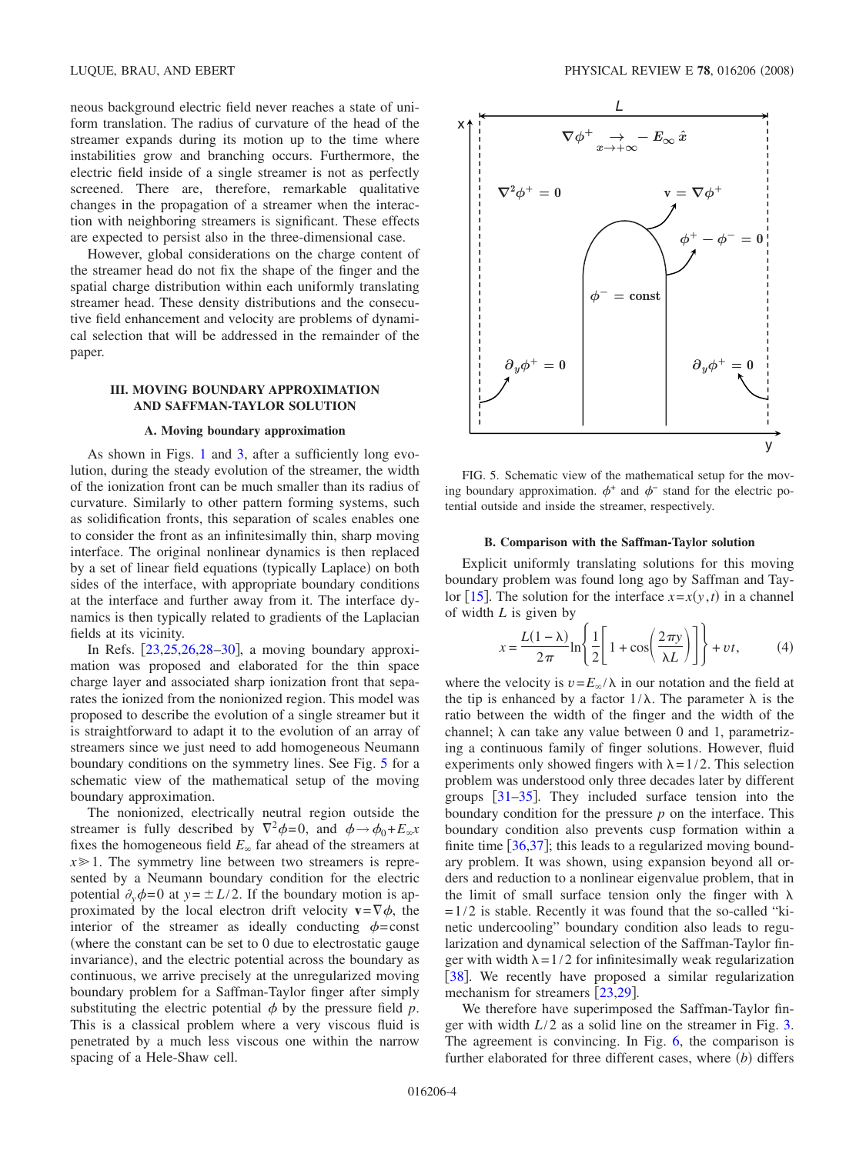neous background electric field never reaches a state of uniform translation. The radius of curvature of the head of the streamer expands during its motion up to the time where instabilities grow and branching occurs. Furthermore, the electric field inside of a single streamer is not as perfectly screened. There are, therefore, remarkable qualitative changes in the propagation of a streamer when the interaction with neighboring streamers is significant. These effects are expected to persist also in the three-dimensional case.

However, global considerations on the charge content of the streamer head do not fix the shape of the finger and the spatial charge distribution within each uniformly translating streamer head. These density distributions and the consecutive field enhancement and velocity are problems of dynamical selection that will be addressed in the remainder of the paper.

#### **III. MOVING BOUNDARY APPROXIMATION AND SAFFMAN-TAYLOR SOLUTION**

#### **A. Moving boundary approximation**

As shown in Figs. [1](#page-1-0) and [3,](#page-2-0) after a sufficiently long evolution, during the steady evolution of the streamer, the width of the ionization front can be much smaller than its radius of curvature. Similarly to other pattern forming systems, such as solidification fronts, this separation of scales enables one to consider the front as an infinitesimally thin, sharp moving interface. The original nonlinear dynamics is then replaced by a set of linear field equations (typically Laplace) on both sides of the interface, with appropriate boundary conditions at the interface and further away from it. The interface dynamics is then typically related to gradients of the Laplacian fields at its vicinity.

In Refs.  $[23,25,26,28-30]$  $[23,25,26,28-30]$  $[23,25,26,28-30]$  $[23,25,26,28-30]$  $[23,25,26,28-30]$  $[23,25,26,28-30]$ , a moving boundary approximation was proposed and elaborated for the thin space charge layer and associated sharp ionization front that separates the ionized from the nonionized region. This model was proposed to describe the evolution of a single streamer but it is straightforward to adapt it to the evolution of an array of streamers since we just need to add homogeneous Neumann boundary conditions on the symmetry lines. See Fig. [5](#page-3-0) for a schematic view of the mathematical setup of the moving boundary approximation.

The nonionized, electrically neutral region outside the streamer is fully described by  $\nabla^2 \phi = 0$ , and  $\phi \rightarrow \phi_0 + E_{\infty}x$ fixes the homogeneous field  $E_{\infty}$  far ahead of the streamers at  $x \geq 1$ . The symmetry line between two streamers is represented by a Neumann boundary condition for the electric potential  $\partial_y \phi = 0$  at  $y = \pm L/2$ . If the boundary motion is approximated by the local electron drift velocity  $v = \nabla \phi$ , the interior of the streamer as ideally conducting  $\phi$ =const where the constant can be set to 0 due to electrostatic gauge invariance), and the electric potential across the boundary as continuous, we arrive precisely at the unregularized moving boundary problem for a Saffman-Taylor finger after simply substituting the electric potential  $\phi$  by the pressure field  $p$ . This is a classical problem where a very viscous fluid is penetrated by a much less viscous one within the narrow spacing of a Hele-Shaw cell.

<span id="page-3-0"></span>

FIG. 5. Schematic view of the mathematical setup for the moving boundary approximation.  $\phi^+$  and  $\phi^-$  stand for the electric potential outside and inside the streamer, respectively.

#### **B. Comparison with the Saffman-Taylor solution**

Explicit uniformly translating solutions for this moving boundary problem was found long ago by Saffman and Tay-lor [[15](#page-5-11)]. The solution for the interface  $x=x(y, t)$  in a channel of width *L* is given by

$$
x = \frac{L(1-\lambda)}{2\pi} \ln \left\{ \frac{1}{2} \left[ 1 + \cos \left( \frac{2\pi y}{\lambda L} \right) \right] \right\} + vt,
$$
 (4)

<span id="page-3-1"></span>where the velocity is  $v = E_{\infty}/\lambda$  in our notation and the field at the tip is enhanced by a factor  $1/\lambda$ . The parameter  $\lambda$  is the ratio between the width of the finger and the width of the channel;  $\lambda$  can take any value between 0 and 1, parametrizing a continuous family of finger solutions. However, fluid experiments only showed fingers with  $\lambda = 1/2$ . This selection problem was understood only three decades later by different groups  $[31-35]$  $[31-35]$  $[31-35]$ . They included surface tension into the boundary condition for the pressure *p* on the interface. This boundary condition also prevents cusp formation within a finite time  $[36,37]$  $[36,37]$  $[36,37]$  $[36,37]$ ; this leads to a regularized moving boundary problem. It was shown, using expansion beyond all orders and reduction to a nonlinear eigenvalue problem, that in the limit of small surface tension only the finger with  $\lambda$  $= 1/2$  is stable. Recently it was found that the so-called "kinetic undercooling" boundary condition also leads to regularization and dynamical selection of the Saffman-Taylor finger with width  $\lambda = 1/2$  for infinitesimally weak regularization [[38](#page-5-28)]. We recently have proposed a similar regularization mechanism for streamers  $[23,29]$  $[23,29]$  $[23,29]$  $[23,29]$ .

We therefore have superimposed the Saffman-Taylor finger with width *L*/2 as a solid line on the streamer in Fig. [3.](#page-2-0) The agreement is convincing. In Fig. [6,](#page-4-0) the comparison is further elaborated for three different cases, where (b) differs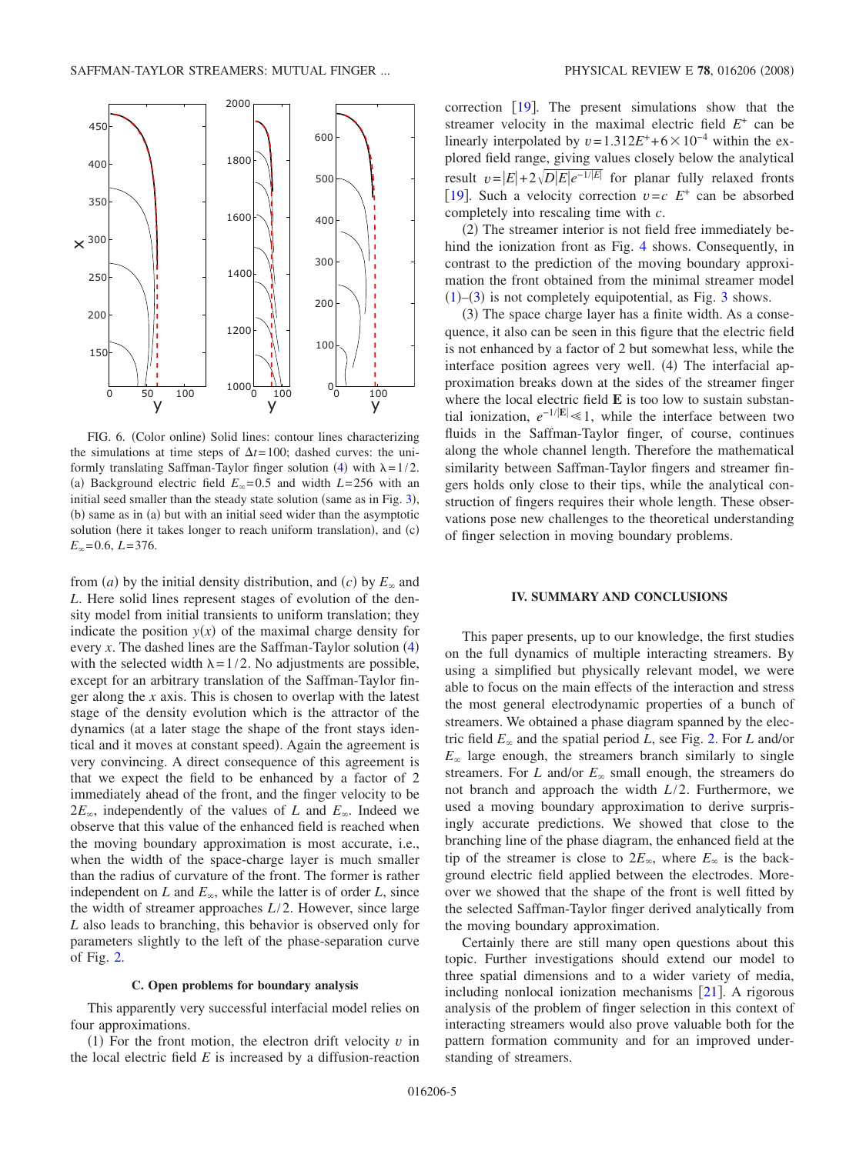<span id="page-4-0"></span>

FIG. 6. (Color online) Solid lines: contour lines characterizing the simulations at time steps of  $\Delta t = 100$ ; dashed curves: the uni-formly translating Saffman-Taylor finger solution ([4](#page-3-1)) with  $\lambda = 1/2$ . (a) Background electric field  $E_{\infty} = 0.5$  and width  $L = 256$  with an initial seed smaller than the steady state solution (same as in Fig.  $3$ ), (b) same as in (a) but with an initial seed wider than the asymptotic solution (here it takes longer to reach uniform translation), and (c)  $E_{\infty}$ =0.6,  $L$ =376.

from *(a)* by the initial density distribution, and *(c)* by  $E_{\infty}$  and *L*. Here solid lines represent stages of evolution of the density model from initial transients to uniform translation; they indicate the position  $y(x)$  of the maximal charge density for every  $x$ . The dashed lines are the Saffman-Taylor solution  $(4)$  $(4)$  $(4)$ with the selected width  $\lambda = 1/2$ . No adjustments are possible, except for an arbitrary translation of the Saffman-Taylor finger along the *x* axis. This is chosen to overlap with the latest stage of the density evolution which is the attractor of the dynamics (at a later stage the shape of the front stays identical and it moves at constant speed). Again the agreement is very convincing. A direct consequence of this agreement is that we expect the field to be enhanced by a factor of 2 immediately ahead of the front, and the finger velocity to be  $2E_{\infty}$ , independently of the values of *L* and  $E_{\infty}$ . Indeed we observe that this value of the enhanced field is reached when the moving boundary approximation is most accurate, i.e., when the width of the space-charge layer is much smaller than the radius of curvature of the front. The former is rather independent on *L* and  $E_{\infty}$ , while the latter is of order *L*, since the width of streamer approaches *L*/2. However, since large *L* also leads to branching, this behavior is observed only for parameters slightly to the left of the phase-separation curve of Fig. [2.](#page-2-1)

#### **C. Open problems for boundary analysis**

This apparently very successful interfacial model relies on four approximations.

(1) For the front motion, the electron drift velocity  $v$  in the local electric field  $E$  is increased by a diffusion-reaction correction  $[19]$  $[19]$  $[19]$ . The present simulations show that the streamer velocity in the maximal electric field  $E^+$  can be linearly interpolated by  $v = 1.312E^+ + 6 \times 10^{-4}$  within the explored field range, giving values closely below the analytical result  $v=|E|+2\sqrt{D|E|e^{-1/|E|}}$  for planar fully relaxed fronts [[19](#page-5-14)]. Such a velocity correction  $v = c$   $E^+$  can be absorbed completely into rescaling time with *c*.

(2) The streamer interior is not field free immediately behind the ionization front as Fig. [4](#page-2-2) shows. Consequently, in contrast to the prediction of the moving boundary approximation the front obtained from the minimal streamer model  $(1)$  $(1)$  $(1)$ – $(3)$  $(3)$  $(3)$  is not completely equipotential, as Fig. 3 shows.

(3) The space charge layer has a finite width. As a consequence, it also can be seen in this figure that the electric field is not enhanced by a factor of 2 but somewhat less, while the interface position agrees very well. (4) The interfacial approximation breaks down at the sides of the streamer finger where the local electric field **E** is too low to sustain substantial ionization,  $e^{-1/|\mathbf{E}|} \ll 1$ , while the interface between two fluids in the Saffman-Taylor finger, of course, continues along the whole channel length. Therefore the mathematical similarity between Saffman-Taylor fingers and streamer fingers holds only close to their tips, while the analytical construction of fingers requires their whole length. These observations pose new challenges to the theoretical understanding of finger selection in moving boundary problems.

#### **IV. SUMMARY AND CONCLUSIONS**

This paper presents, up to our knowledge, the first studies on the full dynamics of multiple interacting streamers. By using a simplified but physically relevant model, we were able to focus on the main effects of the interaction and stress the most general electrodynamic properties of a bunch of streamers. We obtained a phase diagram spanned by the electric field  $E_{\infty}$  and the spatial period *L*, see Fig. [2.](#page-2-1) For *L* and/or  $E_{\infty}$  large enough, the streamers branch similarly to single streamers. For *L* and/or  $E_{\infty}$  small enough, the streamers do not branch and approach the width *L*/2. Furthermore, we used a moving boundary approximation to derive surprisingly accurate predictions. We showed that close to the branching line of the phase diagram, the enhanced field at the tip of the streamer is close to  $2E_{\infty}$ , where  $E_{\infty}$  is the background electric field applied between the electrodes. Moreover we showed that the shape of the front is well fitted by the selected Saffman-Taylor finger derived analytically from the moving boundary approximation.

Certainly there are still many open questions about this topic. Further investigations should extend our model to three spatial dimensions and to a wider variety of media, including nonlocal ionization mechanisms  $[21]$  $[21]$  $[21]$ . A rigorous analysis of the problem of finger selection in this context of interacting streamers would also prove valuable both for the pattern formation community and for an improved understanding of streamers.